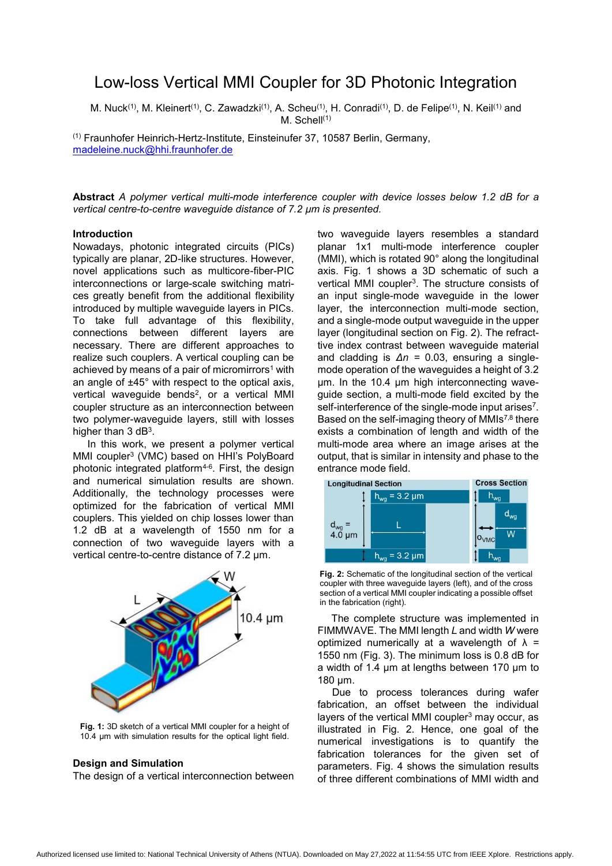# Low-loss Vertical MMI Coupler for 3D Photonic Integration

M. Nuck<sup>(1)</sup>, M. Kleinert<sup>(1)</sup>, C. Zawadzki<sup>(1)</sup>, A. Scheu<sup>(1)</sup>, H. Conradi<sup>(1)</sup>, D. de Felipe<sup>(1)</sup>, N. Keil<sup>(1)</sup> and M. Schell<sup>(1)</sup>

(1) Fraunhofer Heinrich-Hertz-Institute, Einsteinufer 37, 10587 Berlin, Germany, madeleine.nuck@hhi.fraunhofer.de

**Abstract** *A polymer vertical multi-mode interference coupler with device losses below 1.2 dB for a vertical centre-to-centre waveguide distance of 7.2 μm is presented.* 

## **Introduction**

Nowadays, photonic integrated circuits (PICs) typically are planar, 2D-like structures. However, novel applications such as multicore-fiber-PIC interconnections or large-scale switching matrices greatly benefit from the additional flexibility introduced by multiple waveguide layers in PICs. To take full advantage of this flexibility, connections between different layers are necessary. There are different approaches to realize such couplers. A vertical coupling can be achieved by means of a pair of micromirrors<sup>1</sup> with an angle of ±45° with respect to the optical axis, vertical waveguide bends<sup>2</sup>, or a vertical MMI coupler structure as an interconnection between two polymer-waveguide layers, still with losses higher than 3 dB<sup>3</sup>.

In this work, we present a polymer vertical MMI coupler3 (VMC) based on HHI's PolyBoard photonic integrated platform4-6. First, the design and numerical simulation results are shown. Additionally, the technology processes were optimized for the fabrication of vertical MMI couplers. This yielded on chip losses lower than 1.2 dB at a wavelength of 1550 nm for a connection of two waveguide layers with a vertical centre-to-centre distance of 7.2 μm.



**Fig. 1:** 3D sketch of a vertical MMI coupler for a height of 10.4 μm with simulation results for the optical light field.

### **Design and Simulation**

The design of a vertical interconnection between

two waveguide layers resembles a standard planar 1x1 multi-mode interference coupler (MMI), which is rotated 90° along the longitudinal axis. Fig. 1 shows a 3D schematic of such a vertical MMI coupler<sup>3</sup>. The structure consists of an input single-mode waveguide in the lower layer, the interconnection multi-mode section, and a single-mode output waveguide in the upper layer (longitudinal section on Fig. 2). The refracttive index contrast between waveguide material and cladding is *Δn =* 0.03, ensuring a singlemode operation of the waveguides a height of 3.2 μm. In the 10.4 μm high interconnecting waveguide section, a multi-mode field excited by the self-interference of the single-mode input arises<sup>7</sup>. Based on the self-imaging theory of MMIs<sup>7,8</sup> there exists a combination of length and width of the multi-mode area where an image arises at the output, that is similar in intensity and phase to the entrance mode field.



**Fig. 2:** Schematic of the longitudinal section of the vertical coupler with three waveguide layers (left), and of the cross section of a vertical MMI coupler indicating a possible offset in the fabrication (right).

 The complete structure was implemented in FIMMWAVE. The MMI length *L* and width *W* were optimized numerically at a wavelength of  $\lambda$  = 1550 nm (Fig. 3). The minimum loss is 0.8 dB for a width of 1.4 μm at lengths between 170 μm to 180 μm.

 Due to process tolerances during wafer fabrication, an offset between the individual layers of the vertical MMI coupler<sup>3</sup> may occur, as illustrated in Fig. 2. Hence, one goal of the numerical investigations is to quantify the fabrication tolerances for the given set of parameters. Fig. 4 shows the simulation results of three different combinations of MMI width and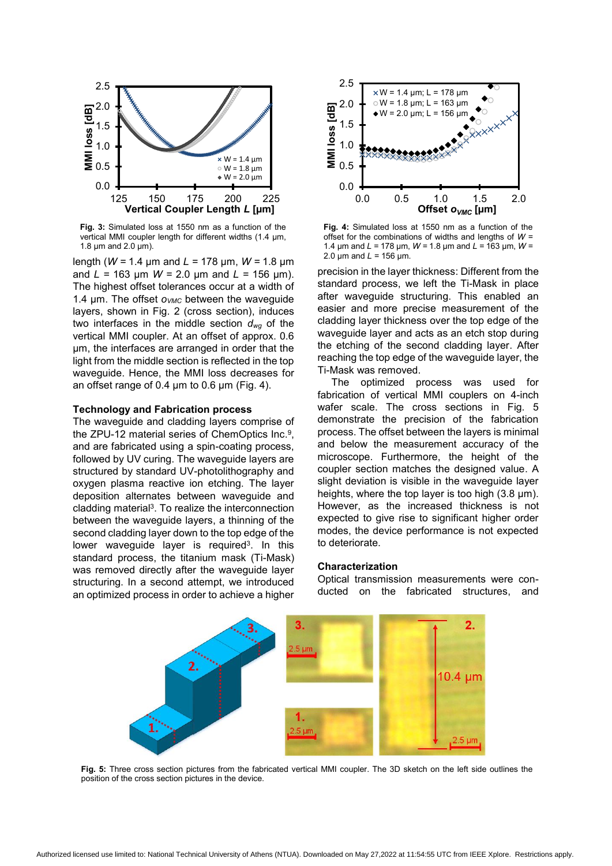

**Fig. 3:** Simulated loss at 1550 nm as a function of the vertical MMI coupler length for different widths (1.4 μm, 1.8 μm and 2.0 μm).

length (*W =* 1.4 μm and *L =* 178 μm, *W =* 1.8 μm and *L =* 163 μm *W =* 2.0 μm and *L =* 156 μm). The highest offset tolerances occur at a width of 1.4 μm. The offset *o<sub>VMC</sub>* between the waveguide layers, shown in Fig. 2 (cross section), induces two interfaces in the middle section *dwg* of the vertical MMI coupler. At an offset of approx. 0.6 μm, the interfaces are arranged in order that the light from the middle section is reflected in the top waveguide. Hence, the MMI loss decreases for an offset range of 0.4 μm to 0.6 μm (Fig. 4).

## **Technology and Fabrication process**

The waveguide and cladding layers comprise of the ZPU-12 material series of ChemOptics Inc.9, and are fabricated using a spin-coating process, followed by UV curing. The waveguide layers are structured by standard UV-photolithography and oxygen plasma reactive ion etching. The layer deposition alternates between waveguide and cladding material3. To realize the interconnection between the waveguide layers, a thinning of the second cladding layer down to the top edge of the lower waveguide layer is required<sup>3</sup>. In this standard process, the titanium mask (Ti-Mask) was removed directly after the waveguide layer structuring. In a second attempt, we introduced an optimized process in order to achieve a higher



**Fig. 4:** Simulated loss at 1550 nm as a function of the offset for the combinations of widths and lengths of *W =*  1.4 μm and *L =* 178 μm, *W =* 1.8 μm and *L =* 163 μm, *W =*  2.0 μm and *L =* 156 μm.

precision in the layer thickness: Different from the standard process, we left the Ti-Mask in place after waveguide structuring. This enabled an easier and more precise measurement of the cladding layer thickness over the top edge of the waveguide layer and acts as an etch stop during the etching of the second cladding layer. After reaching the top edge of the waveguide layer, the Ti-Mask was removed.

 The optimized process was used for fabrication of vertical MMI couplers on 4-inch wafer scale. The cross sections in Fig. 5 demonstrate the precision of the fabrication process. The offset between the layers is minimal and below the measurement accuracy of the microscope. Furthermore, the height of the coupler section matches the designed value. A slight deviation is visible in the waveguide layer heights, where the top layer is too high (3.8 μm). However, as the increased thickness is not expected to give rise to significant higher order modes, the device performance is not expected to deteriorate.

#### **Characterization**

Optical transmission measurements were conducted on the fabricated structures, and



**Fig. 5:** Three cross section pictures from the fabricated vertical MMI coupler. The 3D sketch on the left side outlines the position of the cross section pictures in the device.